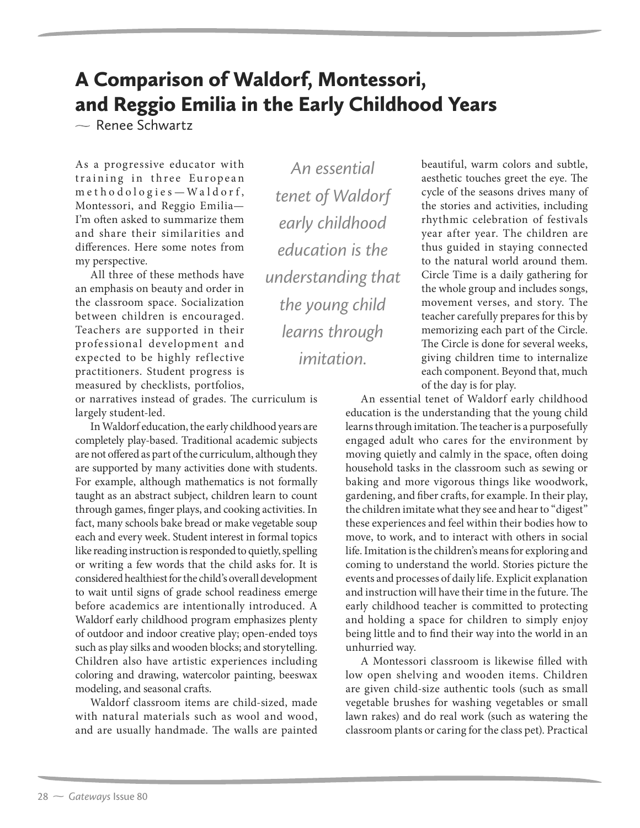## A Comparison of Waldorf, Montessori, and Reggio Emilia in the Early Childhood Years

 $\sim$  Renee Schwartz

As a progressive educator with training in three European m e tho dologies - Waldorf, Montessori, and Reggio Emilia— I'm often asked to summarize them and share their similarities and differences. Here some notes from my perspective.

All three of these methods have an emphasis on beauty and order in the classroom space. Socialization between children is encouraged. Teachers are supported in their professional development and expected to be highly reflective practitioners. Student progress is measured by checklists, portfolios,

or narratives instead of grades. The curriculum is largely student-led.

In Waldorf education, the early childhood years are completely play-based. Traditional academic subjects are not offered as part of the curriculum, although they are supported by many activities done with students. For example, although mathematics is not formally taught as an abstract subject, children learn to count through games, finger plays, and cooking activities. In fact, many schools bake bread or make vegetable soup each and every week. Student interest in formal topics like reading instruction is responded to quietly, spelling or writing a few words that the child asks for. It is considered healthiest for the child's overall development to wait until signs of grade school readiness emerge before academics are intentionally introduced. A Waldorf early childhood program emphasizes plenty of outdoor and indoor creative play; open-ended toys such as play silks and wooden blocks; and storytelling. Children also have artistic experiences including coloring and drawing, watercolor painting, beeswax modeling, and seasonal crafts.

Waldorf classroom items are child-sized, made with natural materials such as wool and wood, and are usually handmade. The walls are painted

*An essential tenet of Waldorf early childhood education is the understanding that the young child learns through imitation.*

beautiful, warm colors and subtle, aesthetic touches greet the eye. The cycle of the seasons drives many of the stories and activities, including rhythmic celebration of festivals year after year. The children are thus guided in staying connected to the natural world around them. Circle Time is a daily gathering for the whole group and includes songs, movement verses, and story. The teacher carefully prepares for this by memorizing each part of the Circle. The Circle is done for several weeks, giving children time to internalize each component. Beyond that, much of the day is for play.

An essential tenet of Waldorf early childhood education is the understanding that the young child learns through imitation. The teacher is a purposefully engaged adult who cares for the environment by moving quietly and calmly in the space, often doing household tasks in the classroom such as sewing or baking and more vigorous things like woodwork, gardening, and fiber crafts, for example. In their play, the children imitate what they see and hear to "digest" these experiences and feel within their bodies how to move, to work, and to interact with others in social life. Imitation is the children's means for exploring and coming to understand the world. Stories picture the events and processes of daily life. Explicit explanation and instruction will have their time in the future. The early childhood teacher is committed to protecting and holding a space for children to simply enjoy being little and to find their way into the world in an unhurried way.

A Montessori classroom is likewise filled with low open shelving and wooden items. Children are given child-size authentic tools (such as small vegetable brushes for washing vegetables or small lawn rakes) and do real work (such as watering the classroom plants or caring for the class pet). Practical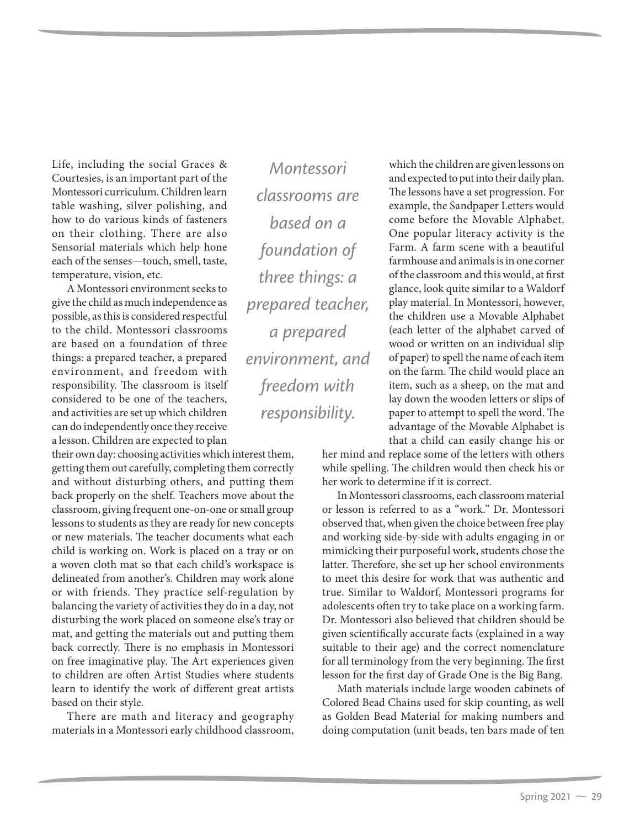Life, including the social Graces & Courtesies, is an important part of the Montessori curriculum. Children learn table washing, silver polishing, and how to do various kinds of fasteners on their clothing. There are also Sensorial materials which help hone each of the senses—touch, smell, taste, temperature, vision, etc.

A Montessori environment seeks to give the child as much independence as possible, as this is considered respectful to the child. Montessori classrooms are based on a foundation of three things: a prepared teacher, a prepared environment, and freedom with responsibility. The classroom is itself considered to be one of the teachers, and activities are set up which children can do independently once they receive a lesson. Children are expected to plan

their own day: choosing activities which interest them, getting them out carefully, completing them correctly and without disturbing others, and putting them back properly on the shelf. Teachers move about the classroom, giving frequent one-on-one or small group lessons to students as they are ready for new concepts or new materials. The teacher documents what each child is working on. Work is placed on a tray or on a woven cloth mat so that each child's workspace is delineated from another's. Children may work alone or with friends. They practice self-regulation by balancing the variety of activities they do in a day, not disturbing the work placed on someone else's tray or mat, and getting the materials out and putting them back correctly. There is no emphasis in Montessori on free imaginative play. The Art experiences given to children are often Artist Studies where students learn to identify the work of different great artists based on their style.

There are math and literacy and geography materials in a Montessori early childhood classroom,

*Montessori classrooms are based on a foundation of three things: a prepared teacher, a prepared environment, and freedom with responsibility.*

which the children are given lessons on and expected to put into their daily plan. The lessons have a set progression. For example, the Sandpaper Letters would come before the Movable Alphabet. One popular literacy activity is the Farm. A farm scene with a beautiful farmhouse and animals is in one corner of the classroom and this would, at first glance, look quite similar to a Waldorf play material. In Montessori, however, the children use a Movable Alphabet (each letter of the alphabet carved of wood or written on an individual slip of paper) to spell the name of each item on the farm. The child would place an item, such as a sheep, on the mat and lay down the wooden letters or slips of paper to attempt to spell the word. The advantage of the Movable Alphabet is that a child can easily change his or

her mind and replace some of the letters with others while spelling. The children would then check his or her work to determine if it is correct.

In Montessori classrooms, each classroom material or lesson is referred to as a "work." Dr. Montessori observed that, when given the choice between free play and working side-by-side with adults engaging in or mimicking their purposeful work, students chose the latter. Therefore, she set up her school environments to meet this desire for work that was authentic and true. Similar to Waldorf, Montessori programs for adolescents often try to take place on a working farm. Dr. Montessori also believed that children should be given scientifically accurate facts (explained in a way suitable to their age) and the correct nomenclature for all terminology from the very beginning. The first lesson for the first day of Grade One is the Big Bang.

Math materials include large wooden cabinets of Colored Bead Chains used for skip counting, as well as Golden Bead Material for making numbers and doing computation (unit beads, ten bars made of ten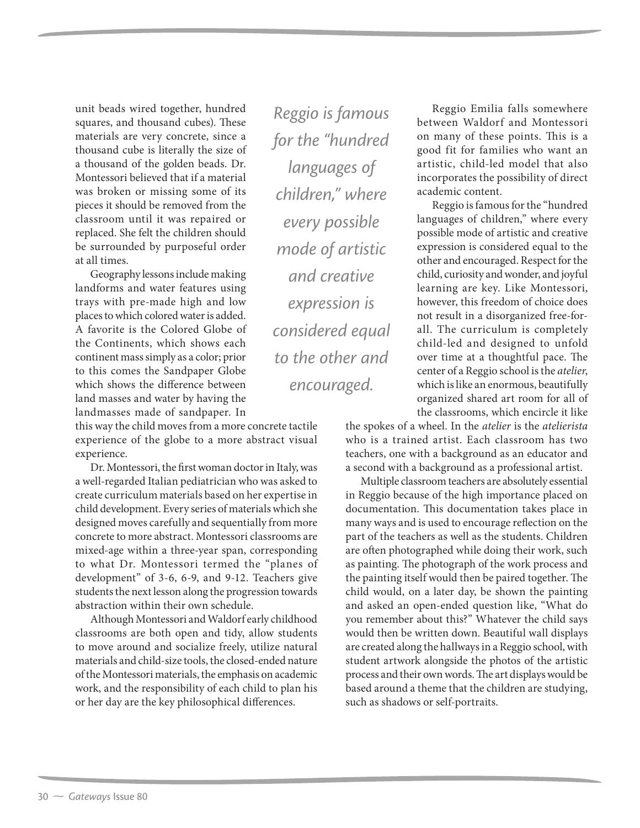unit beads wired together, hundred squares, and thousand cubes). These materials are very concrete, since a thousand cube is literally the size of a thousand of the golden beads. Dr. Montessori believed that if a material was broken or missing some of its pieces it should be removed from the classroom until it was repaired or replaced. She felt the children should be surrounded by purposeful order at all times.

Geography lessons include making landforms and water features using trays with pre-made high and low places to which colored water is added. A favorite is the Colored Globe of the Continents, which shows each continent mass simply as a color; prior to this comes the Sandpaper Globe which shows the difference between land masses and water by having the landmasses made of sandpaper. In

this way the child moves from a more concrete tactile experience of the globe to a more abstract visual experience.

Dr. Montessori, the first woman doctor in Italy, was a well-regarded Italian pediatrician who was asked to create curriculum materials based on her expertise in child development. Every series of materials which she designed moves carefully and sequentially from more concrete to more abstract. Montessori classrooms are mixed-age within a three-year span, corresponding to what Dr. Montessori termed the "planes of development" of 3-6, 6-9, and 9-12. Teachers give students the next lesson along the progression towards abstraction within their own schedule.

Although Montessori and Waldorf early childhood classrooms are both open and tidy, allow students to move around and socialize freely, utilize natural materials and child-size tools, the closed-ended nature of the Montessori materials, the emphasis on academic work, and the responsibility of each child to plan his or her day are the key philosophical differences.

*Reggio is famous for the "hundred languages of children," where every possible mode of artistic and creative expression is considered equal to the other and encouraged.*

Reggio Emilia falls somewhere between Waldorf and Montessori on many of these points. This is a good fit for families who want an artistic, child-led model that also incorporates the possibility of direct academic content.

Reggio is famous for the "hundred languages of children," where every possible mode of artistic and creative expression is considered equal to the other and encouraged. Respect for the child, curiosity and wonder, and joyful learning are key. Like Montessori, however, this freedom of choice does not result in a disorganized free-forall. The curriculum is completely child-led and designed to unfold over time at a thoughtful pace. The center of a Reggio school is the *atelier*, which is like an enormous, beautifully organized shared art room for all of the classrooms, which encircle it like

the spokes of a wheel. In the *atelier* is the *atelierista* who is a trained artist. Each classroom has two teachers, one with a background as an educator and a second with a background as a professional artist.

Multiple classroom teachers are absolutely essential in Reggio because of the high importance placed on documentation. This documentation takes place in many ways and is used to encourage reflection on the part of the teachers as well as the students. Children are often photographed while doing their work, such as painting. The photograph of the work process and the painting itself would then be paired together. The child would, on a later day, be shown the painting and asked an open-ended question like, "What do you remember about this?" Whatever the child says would then be written down. Beautiful wall displays are created along the hallways in a Reggio school, with student artwork alongside the photos of the artistic process and their own words. The art displays would be based around a theme that the children are studying, such as shadows or self-portraits.